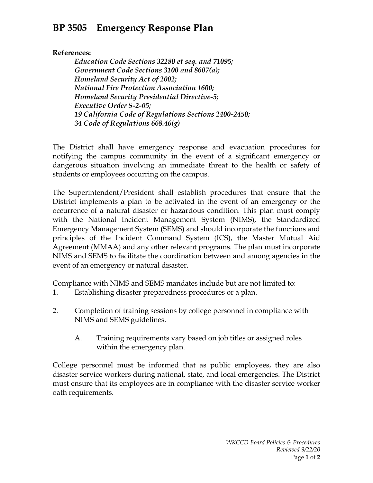## **BP 3505 Emergency Response Plan**

**References:**

*Education Code Sections 32280 et seq. and 71095; Government Code Sections 3100 and 8607(a); Homeland Security Act of 2002; National Fire Protection Association 1600; Homeland Security Presidential Directive-5; Executive Order S-2-05; 19 California Code of Regulations Sections 2400-2450; 34 Code of Regulations 668.46(g)*

The District shall have emergency response and evacuation procedures for notifying the campus community in the event of a significant emergency or dangerous situation involving an immediate threat to the health or safety of students or employees occurring on the campus.

The Superintendent/President shall establish procedures that ensure that the District implements a plan to be activated in the event of an emergency or the occurrence of a natural disaster or hazardous condition. This plan must comply with the National Incident Management System (NIMS), the Standardized Emergency Management System (SEMS) and should incorporate the functions and principles of the Incident Command System (ICS), the Master Mutual Aid Agreement (MMAA) and any other relevant programs. The plan must incorporate NIMS and SEMS to facilitate the coordination between and among agencies in the event of an emergency or natural disaster.

Compliance with NIMS and SEMS mandates include but are not limited to:

- 1. Establishing disaster preparedness procedures or a plan.
- 2. Completion of training sessions by college personnel in compliance with NIMS and SEMS guidelines.
	- A. Training requirements vary based on job titles or assigned roles within the emergency plan.

College personnel must be informed that as public employees, they are also disaster service workers during national, state, and local emergencies. The District must ensure that its employees are in compliance with the disaster service worker oath requirements.